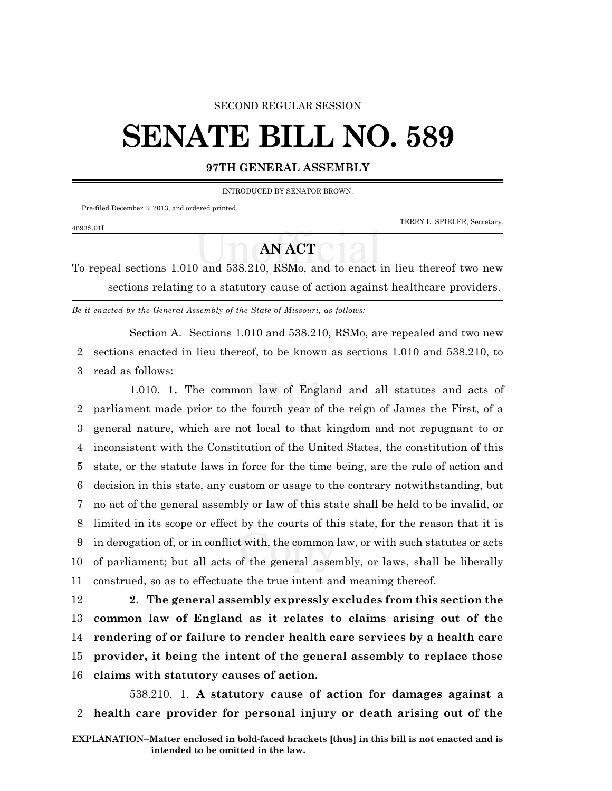### SECOND REGULAR SESSION

# **SENATE BILL NO. 589**

## **97TH GENERAL ASSEMBLY**

INTRODUCED BY SENATOR BROWN.

Pre-filed December 3, 2013, and ordered printed.

TERRY L. SPIELER, Secretary.

#### 4693S.01I

## **AN ACT**

To repeal sections 1.010 and 538.210, RSMo, and to enact in lieu thereof two new sections relating to a statutory cause of action against healthcare providers.

*Be it enacted by the General Assembly of the State of Missouri, as follows:*

Section A. Sections 1.010 and 538.210, RSMo, are repealed and two new 2 sections enacted in lieu thereof, to be known as sections 1.010 and 538.210, to 3 read as follows:

1.010. **1.** The common law of England and all statutes and acts of parliament made prior to the fourth year of the reign of James the First, of a general nature, which are not local to that kingdom and not repugnant to or inconsistent with the Constitution of the United States, the constitution of this state, or the statute laws in force for the time being, are the rule of action and decision in this state, any custom or usage to the contrary notwithstanding, but no act of the general assembly or law of this state shall be held to be invalid, or limited in its scope or effect by the courts of this state, for the reason that it is in derogation of, or in conflict with, the common law, or with such statutes or acts of parliament; but all acts of the general assembly, or laws, shall be liberally construed, so as to effectuate the true intent and meaning thereof.

 **2. The general assembly expressly excludes from this section the common law of England as it relates to claims arising out of the rendering of or failure to render health care services by a health care provider, it being the intent of the general assembly to replace those claims with statutory causes of action.**

538.210. 1. **A statutory cause of action for damages against a** 2 **health care provider for personal injury or death arising out of the**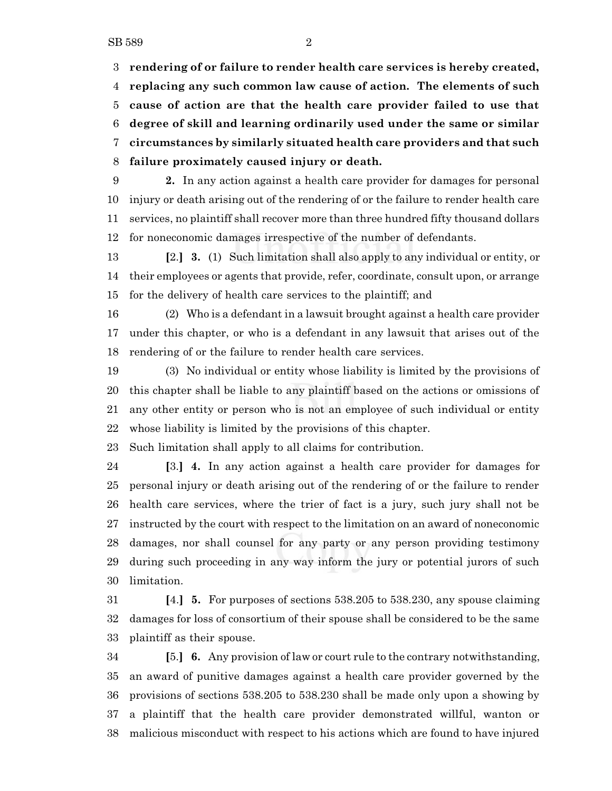**rendering of or failure to render health care services is hereby created, replacing any such common law cause of action. The elements of such cause of action are that the health care provider failed to use that degree of skill and learning ordinarily used under the same or similar circumstances by similarly situated health care providers and that such failure proximately caused injury or death.**

 **2.** In any action against a health care provider for damages for personal injury or death arising out of the rendering of or the failure to render health care services, no plaintiff shall recover more than three hundred fifty thousand dollars for noneconomic damages irrespective of the number of defendants.

 **[**2.**] 3.** (1) Such limitation shall also apply to any individual or entity, or their employees or agents that provide, refer, coordinate, consult upon, or arrange for the delivery of health care services to the plaintiff; and

 (2) Who is a defendant in a lawsuit brought against a health care provider under this chapter, or who is a defendant in any lawsuit that arises out of the rendering of or the failure to render health care services.

 (3) No individual or entity whose liability is limited by the provisions of this chapter shall be liable to any plaintiff based on the actions or omissions of any other entity or person who is not an employee of such individual or entity whose liability is limited by the provisions of this chapter.

Such limitation shall apply to all claims for contribution.

 **[**3.**] 4.** In any action against a health care provider for damages for personal injury or death arising out of the rendering of or the failure to render health care services, where the trier of fact is a jury, such jury shall not be instructed by the court with respect to the limitation on an award of noneconomic damages, nor shall counsel for any party or any person providing testimony during such proceeding in any way inform the jury or potential jurors of such limitation.

 **[**4.**] 5.** For purposes of sections 538.205 to 538.230, any spouse claiming damages for loss of consortium of their spouse shall be considered to be the same plaintiff as their spouse.

 **[**5.**] 6.** Any provision of law or court rule to the contrary notwithstanding, an award of punitive damages against a health care provider governed by the provisions of sections 538.205 to 538.230 shall be made only upon a showing by a plaintiff that the health care provider demonstrated willful, wanton or malicious misconduct with respect to his actions which are found to have injured